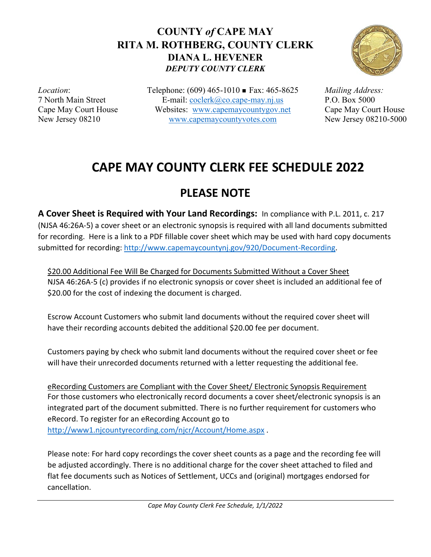## **COUNTY** *of* **CAPE MAY RITA M. ROTHBERG, COUNTY CLERK DIANA L. HEVENER** *DEPUTY COUNTY CLERK*



*Location*: 7 North Main Street Cape May Court House New Jersey 08210

Telephone: (609) 465-1010 ■ Fax: 465-8625 E-mail: [coclerk@co.cape-may.nj.us](mailto:coclerk@co.cape-may.nj.us) Websites: [www.capemaycountygov.net](http://www.capemaycountygov.net/) [www.capemaycountyvotes.com](http://www.capemaycountyvotes.com/)

*Mailing Address:* P.O. Box 5000 Cape May Court House New Jersey 08210-5000

# **CAPE MAY COUNTY CLERK FEE SCHEDULE 2022**

# **PLEASE NOTE**

**A Cover Sheet is Required with Your Land Recordings:** In compliance with P.L. 2011, c. 217 (NJSA 46:26A-5) a cover sheet or an electronic synopsis is required with all land documents submitted for recording. Here is a link to a PDF fillable cover sheet which may be used with hard copy documents submitted for recording: [http://www.capemaycountynj.gov/920/Document-Recording.](http://www.capemaycountynj.gov/920/Document-Recording)

\$20.00 Additional Fee Will Be Charged for Documents Submitted Without a Cover Sheet NJSA 46:26A-5 (c) provides if no electronic synopsis or cover sheet is included an additional fee of \$20.00 for the cost of indexing the document is charged.

Escrow Account Customers who submit land documents without the required cover sheet will have their recording accounts debited the additional \$20.00 fee per document.

Customers paying by check who submit land documents without the required cover sheet or fee will have their unrecorded documents returned with a letter requesting the additional fee.

eRecording Customers are Compliant with the Cover Sheet/ Electronic Synopsis Requirement For those customers who electronically record documents a cover sheet/electronic synopsis is an integrated part of the document submitted. There is no further requirement for customers who eRecord. To register for an eRecording Account go to <http://www1.njcountyrecording.com/njcr/Account/Home.aspx> .

Please note: For hard copy recordings the cover sheet counts as a page and the recording fee will be adjusted accordingly. There is no additional charge for the cover sheet attached to filed and flat fee documents such as Notices of Settlement, UCCs and (original) mortgages endorsed for cancellation.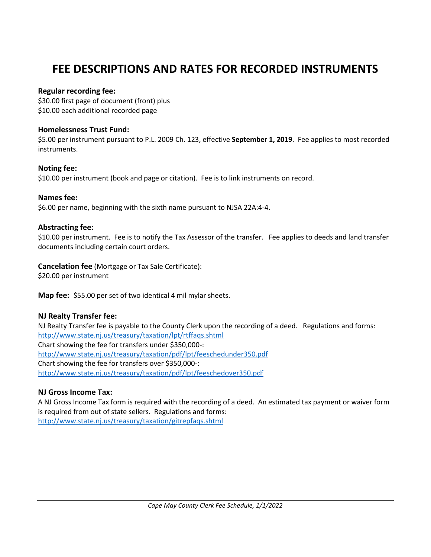# **FEE DESCRIPTIONS AND RATES FOR RECORDED INSTRUMENTS**

## **Regular recording fee:**

\$30.00 first page of document (front) plus \$10.00 each additional recorded page

## **Homelessness Trust Fund:**

\$5.00 per instrument pursuant to P.L. 2009 Ch. 123, effective **September 1, 2019**. Fee applies to most recorded instruments.

## **Noting fee:**

\$10.00 per instrument (book and page or citation). Fee is to link instruments on record.

## **Names fee:**

\$6.00 per name, beginning with the sixth name pursuant to NJSA 22A:4-4.

## **Abstracting fee:**

\$10.00 per instrument. Fee is to notify the Tax Assessor of the transfer. Fee applies to deeds and land transfer documents including certain court orders.

## **Cancelation fee** (Mortgage or Tax Sale Certificate):

\$20.00 per instrument

**Map fee:** \$55.00 per set of two identical 4 mil mylar sheets.

## **NJ Realty Transfer fee:**

NJ Realty Transfer fee is payable to the County Clerk upon the recording of a deed. Regulations and forms: <http://www.state.nj.us/treasury/taxation/lpt/rtffaqs.shtml> Chart showing the fee for transfers under \$350,000-: <http://www.state.nj.us/treasury/taxation/pdf/lpt/feeschedunder350.pdf> Chart showing the fee for transfers over \$350,000-: <http://www.state.nj.us/treasury/taxation/pdf/lpt/feeschedover350.pdf>

## **NJ Gross Income Tax:**

A NJ Gross Income Tax form is required with the recording of a deed. An estimated tax payment or waiver form is required from out of state sellers. Regulations and forms: <http://www.state.nj.us/treasury/taxation/gitrepfaqs.shtml>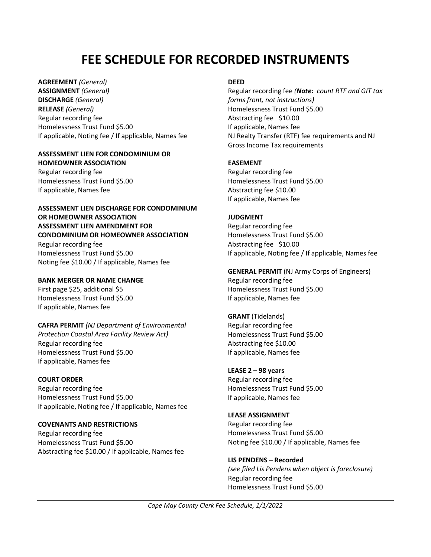# **FEE SCHEDULE FOR RECORDED INSTRUMENTS**

**AGREEMENT** *(General)*

**ASSIGNMENT** *(General)* **DISCHARGE** *(General)* **RELEASE** *(General)* Regular recording fee Homelessness Trust Fund \$5.00 If applicable, Noting fee / If applicable, Names fee

#### **ASSESSMENT LIEN FOR CONDOMINIUM OR HOMEOWNER ASSOCIATION**

Regular recording fee Homelessness Trust Fund \$5.00 If applicable, Names fee

### **ASSESSMENT LIEN DISCHARGE FOR CONDOMINIUM OR HOMEOWNER ASSOCIATION ASSESSMENT LIEN AMENDMENT FOR CONDOMINIUM OR HOMEOWNER ASSOCIATION**

Regular recording fee Homelessness Trust Fund \$5.00 Noting fee \$10.00 / If applicable, Names fee

## **BANK MERGER OR NAME CHANGE**

First page \$25, additional \$5 Homelessness Trust Fund \$5.00 If applicable, Names fee

## **CAFRA PERMIT** *(NJ Department of Environmental Protection Coastal Area Facility Review Act)*

Regular recording fee Homelessness Trust Fund \$5.00 If applicable, Names fee

## **COURT ORDER**

Regular recording fee Homelessness Trust Fund \$5.00 If applicable, Noting fee / If applicable, Names fee

## **COVENANTS AND RESTRICTIONS**

Regular recording fee Homelessness Trust Fund \$5.00 Abstracting fee \$10.00 / If applicable, Names fee

### **DEED**

Regular recording fee *(Note: count RTF and GIT tax forms front, not instructions)* Homelessness Trust Fund \$5.00 Abstracting fee \$10.00 If applicable, Names fee NJ Realty Transfer (RTF) fee requirements and NJ Gross Income Tax requirements

## **EASEMENT**

Regular recording fee Homelessness Trust Fund \$5.00 Abstracting fee \$10.00 If applicable, Names fee

## **JUDGMENT**

Regular recording fee Homelessness Trust Fund \$5.00 Abstracting fee \$10.00 If applicable, Noting fee / If applicable, Names fee

## **GENERAL PERMIT** (NJ Army Corps of Engineers) Regular recording fee

Homelessness Trust Fund \$5.00 If applicable, Names fee

## **GRANT** (Tidelands)

Regular recording fee Homelessness Trust Fund \$5.00 Abstracting fee \$10.00 If applicable, Names fee

## **LEASE 2 – 98 years**

Regular recording fee Homelessness Trust Fund \$5.00 If applicable, Names fee

## **LEASE ASSIGNMENT**

Regular recording fee Homelessness Trust Fund \$5.00 Noting fee \$10.00 / If applicable, Names fee

## **LIS PENDENS – Recorded**

*(see filed Lis Pendens when object is foreclosure)* Regular recording fee Homelessness Trust Fund \$5.00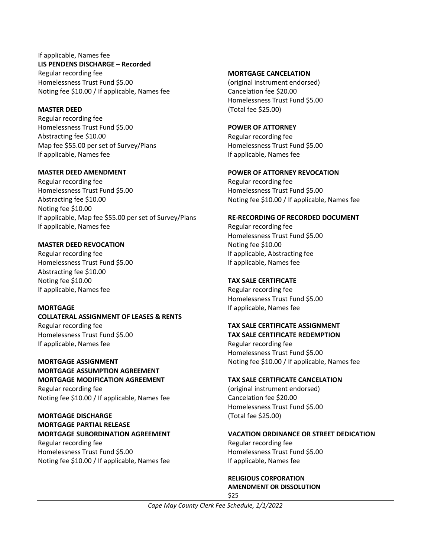If applicable, Names fee **LIS PENDENS DISCHARGE – Recorded** Regular recording fee Homelessness Trust Fund \$5.00 Noting fee \$10.00 / If applicable, Names fee

#### **MASTER DEED**

Regular recording fee Homelessness Trust Fund \$5.00 Abstracting fee \$10.00 Map fee \$55.00 per set of Survey/Plans If applicable, Names fee

#### **MASTER DEED AMENDMENT**

Regular recording fee Homelessness Trust Fund \$5.00 Abstracting fee \$10.00 Noting fee \$10.00 If applicable, Map fee \$55.00 per set of Survey/Plans If applicable, Names fee

#### **MASTER DEED REVOCATION**

Regular recording fee Homelessness Trust Fund \$5.00 Abstracting fee \$10.00 Noting fee \$10.00 If applicable, Names fee

#### **MORTGAGE**

**COLLATERAL ASSIGNMENT OF LEASES & RENTS** Regular recording fee Homelessness Trust Fund \$5.00 If applicable, Names fee

#### **MORTGAGE ASSIGNMENT MORTGAGE ASSUMPTION AGREEMENT MORTGAGE MODIFICATION AGREEMENT** Regular recording fee

Noting fee \$10.00 / If applicable, Names fee

#### **MORTGAGE DISCHARGE MORTGAGE PARTIAL RELEASE MORTGAGE SUBORDINATION AGREEMENT**

Regular recording fee Homelessness Trust Fund \$5.00 Noting fee \$10.00 / If applicable, Names fee

#### **MORTGAGE CANCELATION**

(original instrument endorsed) Cancelation fee \$20.00 Homelessness Trust Fund \$5.00 (Total fee \$25.00)

## **POWER OF ATTORNEY**

Regular recording fee Homelessness Trust Fund \$5.00 If applicable, Names fee

#### **POWER OF ATTORNEY REVOCATION**

Regular recording fee Homelessness Trust Fund \$5.00 Noting fee \$10.00 / If applicable, Names fee

#### **RE-RECORDING OF RECORDED DOCUMENT**

Regular recording fee Homelessness Trust Fund \$5.00 Noting fee \$10.00 If applicable, Abstracting fee If applicable, Names fee

#### **TAX SALE CERTIFICATE**

Regular recording fee Homelessness Trust Fund \$5.00 If applicable, Names fee

#### **TAX SALE CERTIFICATE ASSIGNMENT TAX SALE CERTIFICATE REDEMPTION**

Regular recording fee Homelessness Trust Fund \$5.00 Noting fee \$10.00 / If applicable, Names fee

#### **TAX SALE CERTIFICATE CANCELATION**

(original instrument endorsed) Cancelation fee \$20.00 Homelessness Trust Fund \$5.00 (Total fee \$25.00)

#### **VACATION ORDINANCE OR STREET DEDICATION**

Regular recording fee Homelessness Trust Fund \$5.00 If applicable, Names fee

#### **RELIGIOUS CORPORATION AMENDMENT OR DISSOLUTION** \$25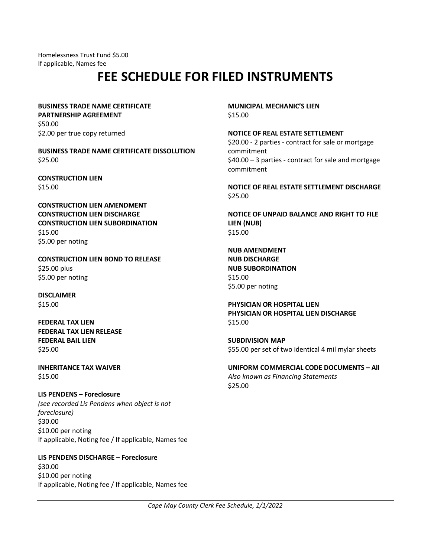Homelessness Trust Fund \$5.00 If applicable, Names fee

# **FEE SCHEDULE FOR FILED INSTRUMENTS**

## **BUSINESS TRADE NAME CERTIFICATE**

**PARTNERSHIP AGREEMENT** \$50.00 \$2.00 per true copy returned

**BUSINESS TRADE NAME CERTIFICATE DISSOLUTION** \$25.00

**CONSTRUCTION LIEN** \$15.00

**CONSTRUCTION LIEN AMENDMENT CONSTRUCTION LIEN DISCHARGE CONSTRUCTION LIEN SUBORDINATION** \$15.00 \$5.00 per noting

**CONSTRUCTION LIEN BOND TO RELEASE** \$25.00 plus \$5.00 per noting

**DISCLAIMER** \$15.00

**FEDERAL TAX LIEN FEDERAL TAX LIEN RELEASE FEDERAL BAIL LIEN** \$25.00

**INHERITANCE TAX WAIVER** \$15.00

**LIS PENDENS – Foreclosure** *(see recorded Lis Pendens when object is not foreclosure)* \$30.00 \$10.00 per noting If applicable, Noting fee / If applicable, Names fee

**LIS PENDENS DISCHARGE – Foreclosure** \$30.00 \$10.00 per noting If applicable, Noting fee / If applicable, Names fee

**MUNICIPAL MECHANIC'S LIEN** \$15.00

**NOTICE OF REAL ESTATE SETTLEMENT** \$20.00 - 2 parties - contract for sale or mortgage commitment \$40.00 – 3 parties - contract for sale and mortgage commitment

**NOTICE OF REAL ESTATE SETTLEMENT DISCHARGE** \$25.00

**NOTICE OF UNPAID BALANCE AND RIGHT TO FILE LIEN (NUB)** \$15.00

**NUB AMENDMENT NUB DISCHARGE NUB SUBORDINATION** \$15.00 \$5.00 per noting

**PHYSICIAN OR HOSPITAL LIEN PHYSICIAN OR HOSPITAL LIEN DISCHARGE** \$15.00

**SUBDIVISION MAP** \$55.00 per set of two identical 4 mil mylar sheets

**UNIFORM COMMERCIAL CODE DOCUMENTS – All**  *Also known as Financing Statements* \$25.00